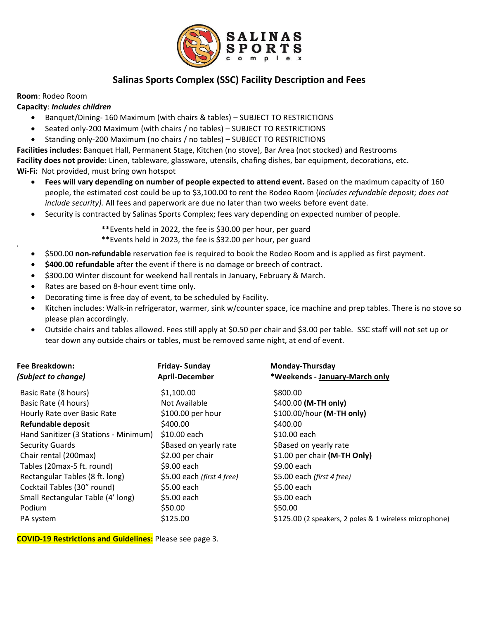

# **Salinas Sports Complex (SSC) Facility Description and Fees**

#### **Room**: Rodeo Room

9

#### **Capacity**: *Includes children*

- Banquet/Dining- 160 Maximum (with chairs & tables) SUBJECT TO RESTRICTIONS
- Seated only-200 Maximum (with chairs / no tables) SUBJECT TO RESTRICTIONS
- Standing only-200 Maximum (no chairs / no tables) SUBJECT TO RESTRICTIONS

**Facilities includes**: Banquet Hall, Permanent Stage, Kitchen (no stove), Bar Area (not stocked) and Restrooms

**Facility does not provide:** Linen, tableware, glassware, utensils, chafing dishes, bar equipment, decorations, etc.

**Wi-Fi:** Not provided, must bring own hotspot

- **Fees will vary depending on number of people expected to attend event.** Based on the maximum capacity of 160 people, the estimated cost could be up to \$3,100.00 to rent the Rodeo Room (*includes refundable deposit; does not include security).* All fees and paperwork are due no later than two weeks before event date.
- Security is contracted by Salinas Sports Complex; fees vary depending on expected number of people.

\*\*Events held in 2022, the fee is \$30.00 per hour, per guard

\*\*Events held in 2023, the fee is \$32.00 per hour, per guard

- \$500.00 **non-refundable** reservation fee is required to book the Rodeo Room and is applied as first payment.
- **\$400.00 refundable** after the event if there is no damage or breech of contract.
- \$300.00 Winter discount for weekend hall rentals in January, February & March.
- Rates are based on 8-hour event time only.
- Decorating time is free day of event, to be scheduled by Facility.
- Kitchen includes: Walk-in refrigerator, warmer, sink w/counter space, ice machine and prep tables. There is no stove so please plan accordingly.
- Outside chairs and tables allowed. Fees still apply at \$0.50 per chair and \$3.00 per table. SSC staff will not set up or tear down any outside chairs or tables, must be removed same night, at end of event.

| Fee Breakdown:<br>(Subject to change) | <b>Friday-Sunday</b><br><b>April-December</b> | Monday-Thursday<br>*Weekends - January-March only      |
|---------------------------------------|-----------------------------------------------|--------------------------------------------------------|
| Basic Rate (8 hours)                  | \$1,100.00                                    | \$800.00                                               |
| Basic Rate (4 hours)                  | Not Available                                 | \$400.00 (M-TH only)                                   |
| Hourly Rate over Basic Rate           | \$100.00 per hour                             | \$100.00/hour (M-TH only)                              |
| <b>Refundable deposit</b>             | \$400.00                                      | \$400.00                                               |
| Hand Sanitizer (3 Stations - Minimum) | \$10.00 each                                  | \$10.00 each                                           |
| <b>Security Guards</b>                | \$Based on yearly rate                        | \$Based on yearly rate                                 |
| Chair rental (200max)                 | \$2.00 per chair                              | \$1.00 per chair (M-TH Only)                           |
| Tables (20max-5 ft. round)            | \$9.00 each                                   | \$9.00 each                                            |
| Rectangular Tables (8 ft. long)       | \$5.00 each (first 4 free)                    | \$5.00 each (first 4 free)                             |
| Cocktail Tables (30" round)           | \$5.00 each                                   | \$5.00 each                                            |
| Small Rectangular Table (4' long)     | \$5.00 each                                   | \$5.00 each                                            |
| Podium                                | \$50.00                                       | \$50.00                                                |
| PA system                             | \$125.00                                      | \$125.00 (2 speakers, 2 poles & 1 wireless microphone) |

**COVID-19 Restrictions and Guidelines:** Please see page 3.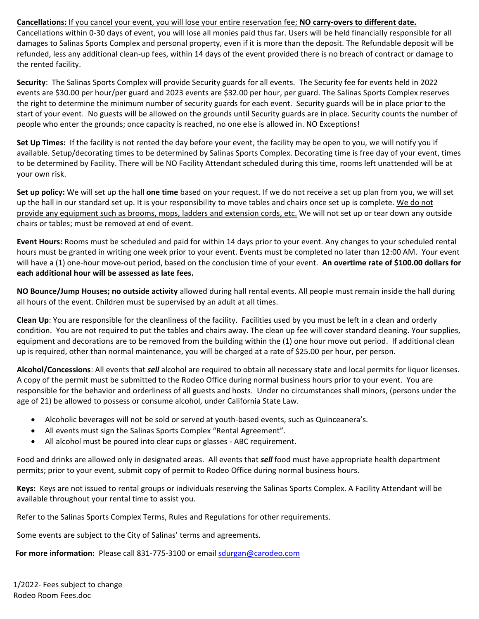#### **Cancellations:** If you cancel your event, you will lose your entire reservation fee; **NO carry-overs to different date.**

Cancellations within 0-30 days of event, you will lose all monies paid thus far. Users will be held financially responsible for all damages to Salinas Sports Complex and personal property, even if it is more than the deposit. The Refundable deposit will be refunded, less any additional clean-up fees, within 14 days of the event provided there is no breach of contract or damage to the rented facility.

**Security**: The Salinas Sports Complex will provide Security guards for all events. The Security fee for events held in 2022 events are \$30.00 per hour/per guard and 2023 events are \$32.00 per hour, per guard. The Salinas Sports Complex reserves the right to determine the minimum number of security guards for each event. Security guards will be in place prior to the start of your event. No guests will be allowed on the grounds until Security guards are in place. Security counts the number of people who enter the grounds; once capacity is reached, no one else is allowed in. NO Exceptions!

**Set Up Times:** If the facility is not rented the day before your event, the facility may be open to you, we will notify you if available. Setup/decorating times to be determined by Salinas Sports Complex. Decorating time is free day of your event, times to be determined by Facility. There will be NO Facility Attendant scheduled during this time, rooms left unattended will be at your own risk.

**Set up policy:** We will set up the hall **one time** based on your request. If we do not receive a set up plan from you, we will set up the hall in our standard set up. It is your responsibility to move tables and chairs once set up is complete. We do not provide any equipment such as brooms, mops, ladders and extension cords, etc. We will not set up or tear down any outside chairs or tables; must be removed at end of event.

**Event Hours:** Rooms must be scheduled and paid for within 14 days prior to your event. Any changes to your scheduled rental hours must be granted in writing one week prior to your event. Events must be completed no later than 12:00 AM. Your event will have a (1) one-hour move-out period, based on the conclusion time of your event. **An overtime rate of \$100.00 dollars for each additional hour will be assessed as late fees.**

**NO Bounce/Jump Houses; no outside activity** allowed during hall rental events. All people must remain inside the hall during all hours of the event. Children must be supervised by an adult at all times.

**Clean Up**: You are responsible for the cleanliness of the facility. Facilities used by you must be left in a clean and orderly condition. You are not required to put the tables and chairs away. The clean up fee will cover standard cleaning. Your supplies, equipment and decorations are to be removed from the building within the (1) one hour move out period. If additional clean up is required, other than normal maintenance, you will be charged at a rate of \$25.00 per hour, per person.

**Alcohol/Concessions**: All events that *sell* alcohol are required to obtain all necessary state and local permits for liquor licenses. A copy of the permit must be submitted to the Rodeo Office during normal business hours prior to your event. You are responsible for the behavior and orderliness of all guests and hosts. Under no circumstances shall minors, (persons under the age of 21) be allowed to possess or consume alcohol, under California State Law.

- Alcoholic beverages will not be sold or served at youth-based events, such as Quinceanera's.
- All events must sign the Salinas Sports Complex "Rental Agreement".
- All alcohol must be poured into clear cups or glasses ABC requirement.

Food and drinks are allowed only in designated areas. All events that *sell* food must have appropriate health department permits; prior to your event, submit copy of permit to Rodeo Office during normal business hours.

**Keys:** Keys are not issued to rental groups or individuals reserving the Salinas Sports Complex. A Facility Attendant will be available throughout your rental time to assist you.

Refer to the Salinas Sports Complex Terms, Rules and Regulations for other requirements.

Some events are subject to the City of Salinas' terms and agreements.

**For more information:** Please call 831-775-3100 or email [sdurgan@carodeo.com](mailto:sdurgan@carodeo.com)